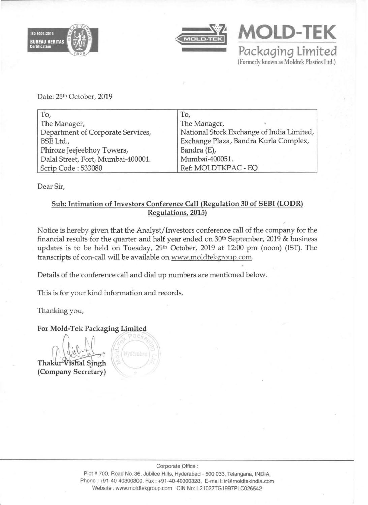



**MOLD-TEK Packaging limited**  (Formerly known as Moldtek Plastics Ltd.)

Date: 25th October, 2019

| To,                                | To,                                       |
|------------------------------------|-------------------------------------------|
| The Manager,                       | The Manager,                              |
| Department of Corporate Services,  | National Stock Exchange of India Limited, |
| BSE Ltd.,                          | Exchange Plaza, Bandra Kurla Complex,     |
| Phiroze Jeejeebhoy Towers,         | Bandra (E),                               |
| Dalal Street, Fort, Mumbai-400001. | Mumbai-400051.                            |
| Scrip Code: 533080                 | Ref: MOLDTKPAC - EQ                       |

Dear Sir,

## Sub: Intimation of Investors Conference Call (Regulation 30 of SEBI (LODR) Regulations, 2015)

Notice is hereby given that the Analyst/Investors conference call of the company for the financial results for the quarter and half year ended on  $30<sup>th</sup>$  September, 2019 & business updates is to be held on Tuesday, 29<sup>th</sup> October, 2019 at 12:00 pm (noon) (IST). The transcripts of con-call will be available on www.moldtekgroup.com.

Details of the conference call and dial up numbers are mentioned below.

This is for your kind information and records.

Thanking you,

## For Mold-Tek Packaging Limited





Plot # 700, Road No. 36, Jubilee Hills, Hyderabad - 500 033, Telangana, INDIA. Phone : +91-40·40300300, Fax: +91-40-40300328, E-mai I: ir@moldtekindia.com Website : www.moldtekgroup.com CIN No: L21022TG1997PLC026542